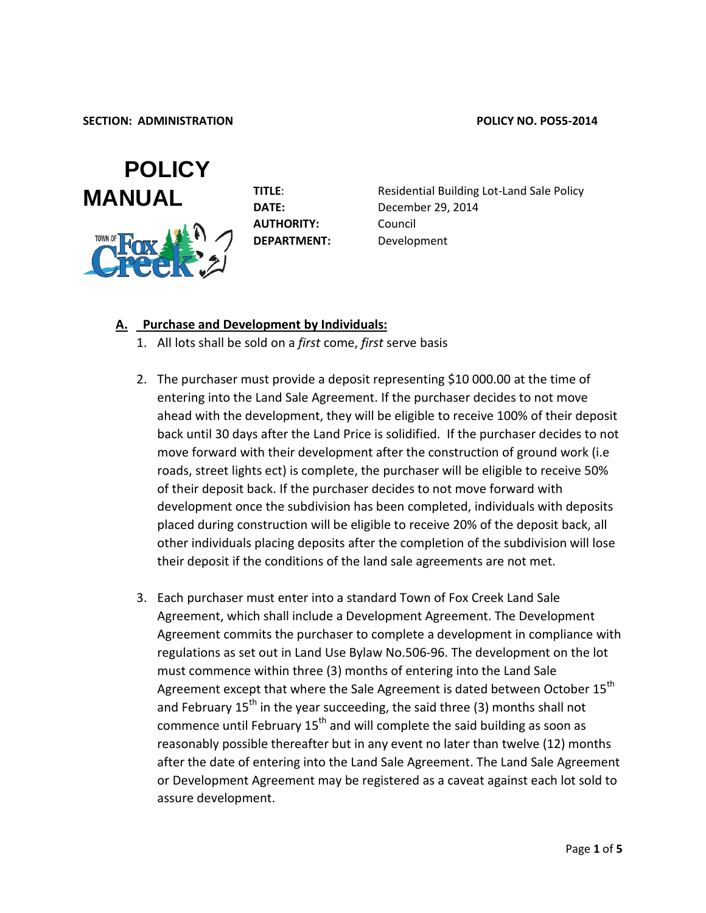

**AUTHORITY:** Council **DEPARTMENT:** Development

**TITLE:** Residential Building Lot-Land Sale Policy **DATE:** December 29, 2014

#### **A. Purchase and Development by Individuals:**

- 1. All lots shall be sold on a *first* come, *first* serve basis
- 2. The purchaser must provide a deposit representing \$10 000.00 at the time of entering into the Land Sale Agreement. If the purchaser decides to not move ahead with the development, they will be eligible to receive 100% of their deposit back until 30 days after the Land Price is solidified. If the purchaser decides to not move forward with their development after the construction of ground work (i.e roads, street lights ect) is complete, the purchaser will be eligible to receive 50% of their deposit back. If the purchaser decides to not move forward with development once the subdivision has been completed, individuals with deposits placed during construction will be eligible to receive 20% of the deposit back, all other individuals placing deposits after the completion of the subdivision will lose their deposit if the conditions of the land sale agreements are not met.
- 3. Each purchaser must enter into a standard Town of Fox Creek Land Sale Agreement, which shall include a Development Agreement. The Development Agreement commits the purchaser to complete a development in compliance with regulations as set out in Land Use Bylaw No.506-96. The development on the lot must commence within three (3) months of entering into the Land Sale Agreement except that where the Sale Agreement is dated between October 15<sup>th</sup> and February  $15<sup>th</sup>$  in the year succeeding, the said three (3) months shall not commence until February  $15<sup>th</sup>$  and will complete the said building as soon as reasonably possible thereafter but in any event no later than twelve (12) months after the date of entering into the Land Sale Agreement. The Land Sale Agreement or Development Agreement may be registered as a caveat against each lot sold to assure development.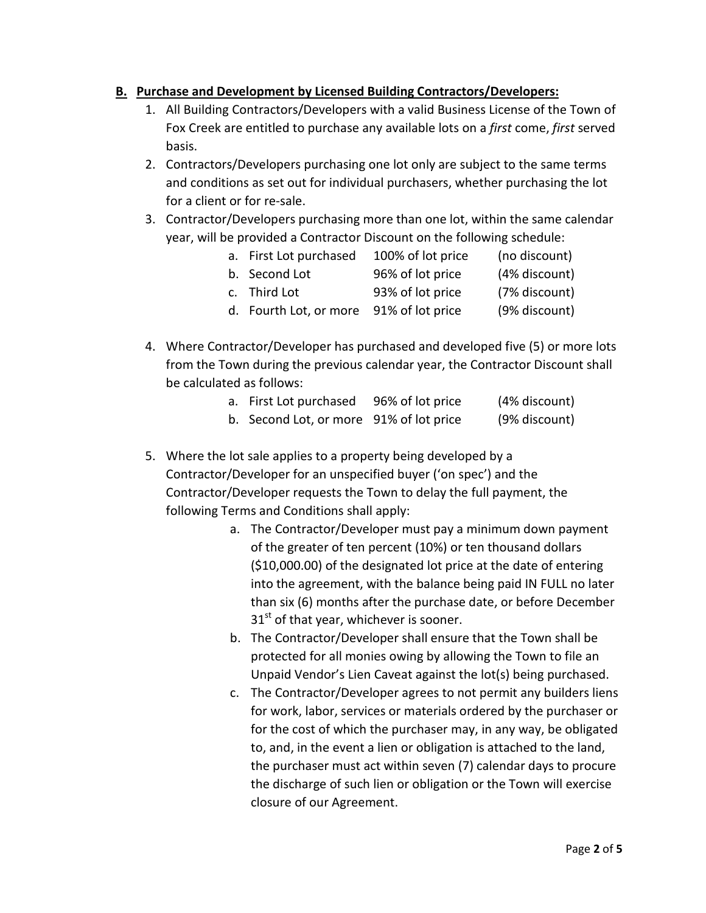# **B. Purchase and Development by Licensed Building Contractors/Developers:**

- 1. All Building Contractors/Developers with a valid Business License of the Town of Fox Creek are entitled to purchase any available lots on a *first* come, *first* served basis.
- 2. Contractors/Developers purchasing one lot only are subject to the same terms and conditions as set out for individual purchasers, whether purchasing the lot for a client or for re-sale.
- 3. Contractor/Developers purchasing more than one lot, within the same calendar year, will be provided a Contractor Discount on the following schedule:

| a. First Lot purchased                  | 100% of lot price | (no discount) |
|-----------------------------------------|-------------------|---------------|
| b. Second Lot                           | 96% of lot price  | (4% discount) |
| c. Third Lot                            | 93% of lot price  | (7% discount) |
| d. Fourth Lot, or more 91% of lot price |                   | (9% discount) |

4. Where Contractor/Developer has purchased and developed five (5) or more lots from the Town during the previous calendar year, the Contractor Discount shall be calculated as follows:

| a. First Lot purchased                  | 96% of lot price | (4% discount) |
|-----------------------------------------|------------------|---------------|
| b. Second Lot, or more 91% of lot price |                  | (9% discount) |

- 5. Where the lot sale applies to a property being developed by a Contractor/Developer for an unspecified buyer ('on spec') and the Contractor/Developer requests the Town to delay the full payment, the following Terms and Conditions shall apply:
	- a. The Contractor/Developer must pay a minimum down payment of the greater of ten percent (10%) or ten thousand dollars (\$10,000.00) of the designated lot price at the date of entering into the agreement, with the balance being paid IN FULL no later than six (6) months after the purchase date, or before December  $31<sup>st</sup>$  of that year, whichever is sooner.
	- b. The Contractor/Developer shall ensure that the Town shall be protected for all monies owing by allowing the Town to file an Unpaid Vendor's Lien Caveat against the lot(s) being purchased.
	- c. The Contractor/Developer agrees to not permit any builders liens for work, labor, services or materials ordered by the purchaser or for the cost of which the purchaser may, in any way, be obligated to, and, in the event a lien or obligation is attached to the land, the purchaser must act within seven (7) calendar days to procure the discharge of such lien or obligation or the Town will exercise closure of our Agreement.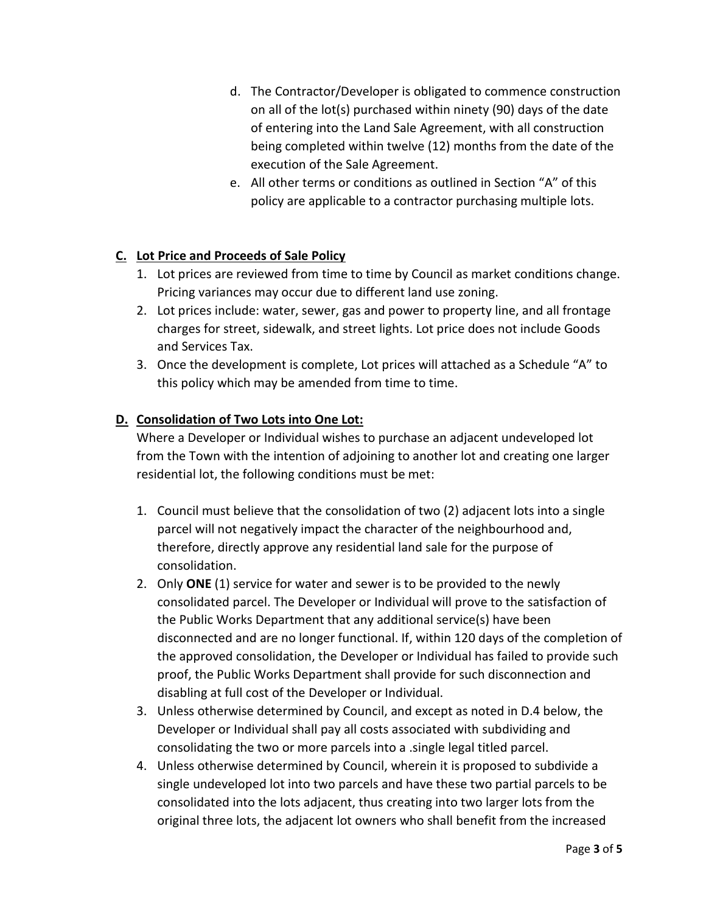- d. The Contractor/Developer is obligated to commence construction on all of the lot(s) purchased within ninety (90) days of the date of entering into the Land Sale Agreement, with all construction being completed within twelve (12) months from the date of the execution of the Sale Agreement.
- e. All other terms or conditions as outlined in Section "A" of this policy are applicable to a contractor purchasing multiple lots.

# **C. Lot Price and Proceeds of Sale Policy**

- 1. Lot prices are reviewed from time to time by Council as market conditions change. Pricing variances may occur due to different land use zoning.
- 2. Lot prices include: water, sewer, gas and power to property line, and all frontage charges for street, sidewalk, and street lights. Lot price does not include Goods and Services Tax.
- 3. Once the development is complete, Lot prices will attached as a Schedule "A" to this policy which may be amended from time to time.

## **D. Consolidation of Two Lots into One Lot:**

Where a Developer or Individual wishes to purchase an adjacent undeveloped lot from the Town with the intention of adjoining to another lot and creating one larger residential lot, the following conditions must be met:

- 1. Council must believe that the consolidation of two (2) adjacent lots into a single parcel will not negatively impact the character of the neighbourhood and, therefore, directly approve any residential land sale for the purpose of consolidation.
- 2. Only **ONE** (1) service for water and sewer is to be provided to the newly consolidated parcel. The Developer or Individual will prove to the satisfaction of the Public Works Department that any additional service(s) have been disconnected and are no longer functional. If, within 120 days of the completion of the approved consolidation, the Developer or Individual has failed to provide such proof, the Public Works Department shall provide for such disconnection and disabling at full cost of the Developer or Individual.
- 3. Unless otherwise determined by Council, and except as noted in D.4 below, the Developer or Individual shall pay all costs associated with subdividing and consolidating the two or more parcels into a .single legal titled parcel.
- 4. Unless otherwise determined by Council, wherein it is proposed to subdivide a single undeveloped lot into two parcels and have these two partial parcels to be consolidated into the lots adjacent, thus creating into two larger lots from the original three lots, the adjacent lot owners who shall benefit from the increased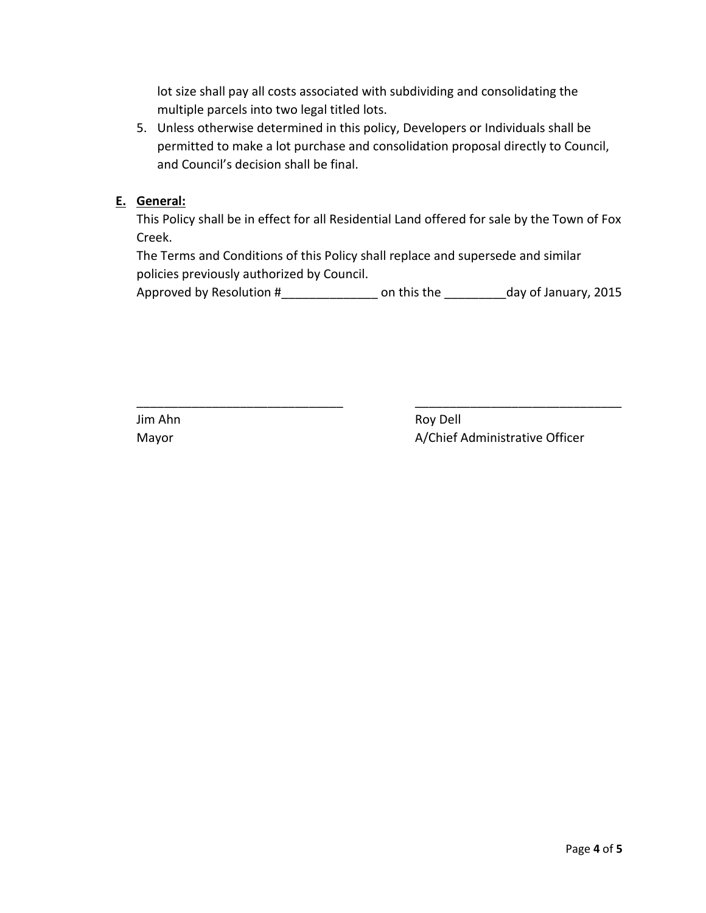lot size shall pay all costs associated with subdividing and consolidating the multiple parcels into two legal titled lots.

5. Unless otherwise determined in this policy, Developers or Individuals shall be permitted to make a lot purchase and consolidation proposal directly to Council, and Council's decision shall be final.

### **E. General:**

This Policy shall be in effect for all Residential Land offered for sale by the Town of Fox Creek.

The Terms and Conditions of this Policy shall replace and supersede and similar policies previously authorized by Council.

Approved by Resolution #\_\_\_\_\_\_\_\_\_\_\_\_\_\_\_\_\_\_\_\_\_ on this the \_\_\_\_\_\_\_\_\_\_\_day of January, 2015

\_\_\_\_\_\_\_\_\_\_\_\_\_\_\_\_\_\_\_\_\_\_\_\_\_\_\_\_\_\_ \_\_\_\_\_\_\_\_\_\_\_\_\_\_\_\_\_\_\_\_\_\_\_\_\_\_\_\_\_\_

Jim Ahn Roy Dell Mayor Mayor A/Chief Administrative Officer